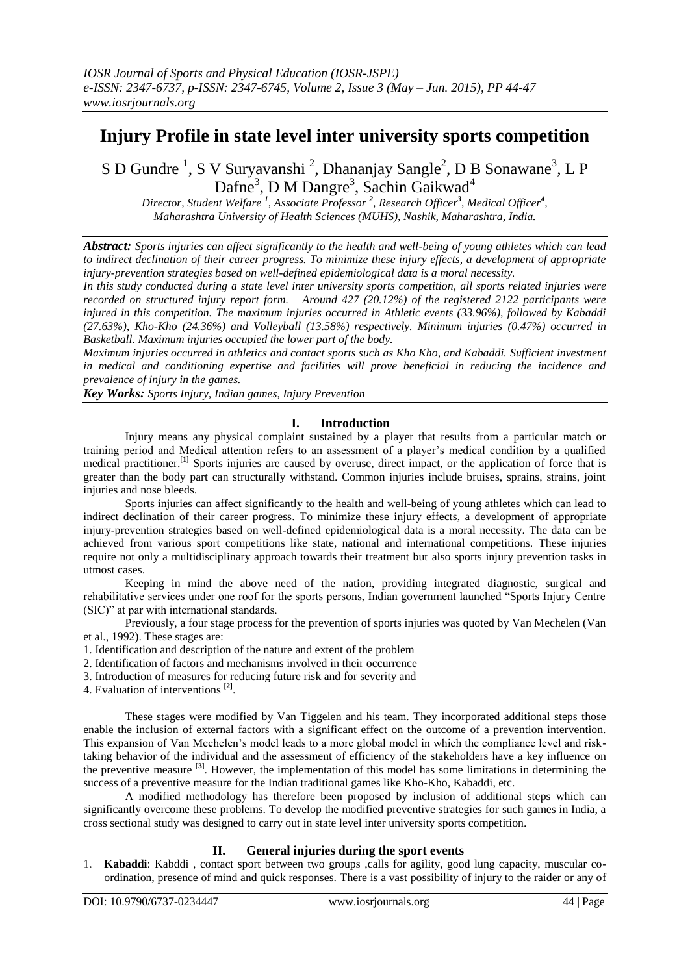# **Injury Profile in state level inter university sports competition**

S D Gundre<sup>1</sup>, S V Suryavanshi<sup>2</sup>, Dhananjay Sangle<sup>2</sup>, D B Sonawane<sup>3</sup>, L P Dafne<sup>3</sup>, D M Dangre<sup>3</sup>, Sachin Gaikwad<sup>4</sup>

*Director, Student Welfare <sup>1</sup> , Associate Professor <sup>2</sup> , Research Officer<sup>3</sup> , Medical Officer<sup>4</sup> , Maharashtra University of Health Sciences (MUHS), Nashik, Maharashtra, India.*

*Abstract: Sports injuries can affect significantly to the health and well-being of young athletes which can lead to indirect declination of their career progress. To minimize these injury effects, a development of appropriate injury-prevention strategies based on well-defined epidemiological data is a moral necessity.* 

*In this study conducted during a state level inter university sports competition, all sports related injuries were recorded on structured injury report form. Around 427 (20.12%) of the registered 2122 participants were injured in this competition. The maximum injuries occurred in Athletic events (33.96%), followed by Kabaddi (27.63%), Kho-Kho (24.36%) and Volleyball (13.58%) respectively. Minimum injuries (0.47%) occurred in Basketball. Maximum injuries occupied the lower part of the body.*

*Maximum injuries occurred in athletics and contact sports such as Kho Kho, and Kabaddi. Sufficient investment in medical and conditioning expertise and facilities will prove beneficial in reducing the incidence and prevalence of injury in the games.* 

*Key Works: Sports Injury, Indian games, Injury Prevention*

# **I. Introduction**

Injury means any physical complaint sustained by a player that results from a particular match or training period and Medical attention refers to an assessment of a player's medical condition by a qualified medical practitioner.<sup>[1]</sup> Sports injuries are caused by overuse, direct impact, or the application of force that is greater than the body part can structurally withstand. Common injuries include bruises, sprains, strains, joint injuries and nose bleeds.

Sports injuries can affect significantly to the health and well-being of young athletes which can lead to indirect declination of their career progress. To minimize these injury effects, a development of appropriate injury-prevention strategies based on well-defined epidemiological data is a moral necessity. The data can be achieved from various sport competitions like state, national and international competitions. These injuries require not only a multidisciplinary approach towards their treatment but also sports injury prevention tasks in utmost cases.

Keeping in mind the above need of the nation, providing integrated diagnostic, surgical and rehabilitative services under one roof for the sports persons, Indian government launched "Sports Injury Centre (SIC)" at par with international standards.

Previously, a four stage process for the prevention of sports injuries was quoted by Van Mechelen (Van et al., 1992). These stages are:

- 1. Identification and description of the nature and extent of the problem
- 2. Identification of factors and mechanisms involved in their occurrence
- 3. Introduction of measures for reducing future risk and for severity and
- 4. Evaluation of interventions [**2]** .

These stages were modified by Van Tiggelen and his team. They incorporated additional steps those enable the inclusion of external factors with a significant effect on the outcome of a prevention intervention. This expansion of Van Mechelen's model leads to a more global model in which the compliance level and risktaking behavior of the individual and the assessment of efficiency of the stakeholders have a key influence on the preventive measure [**3]**. However, the implementation of this model has some limitations in determining the success of a preventive measure for the Indian traditional games like Kho-Kho, Kabaddi, etc.

A modified methodology has therefore been proposed by inclusion of additional steps which can significantly overcome these problems. To develop the modified preventive strategies for such games in India, a cross sectional study was designed to carry out in state level inter university sports competition.

# **II. General injuries during the sport events**

1. **Kabaddi**: Kabddi , contact sport between two groups ,calls for agility, good lung capacity, muscular coordination, presence of mind and quick responses. There is a vast possibility of injury to the raider or any of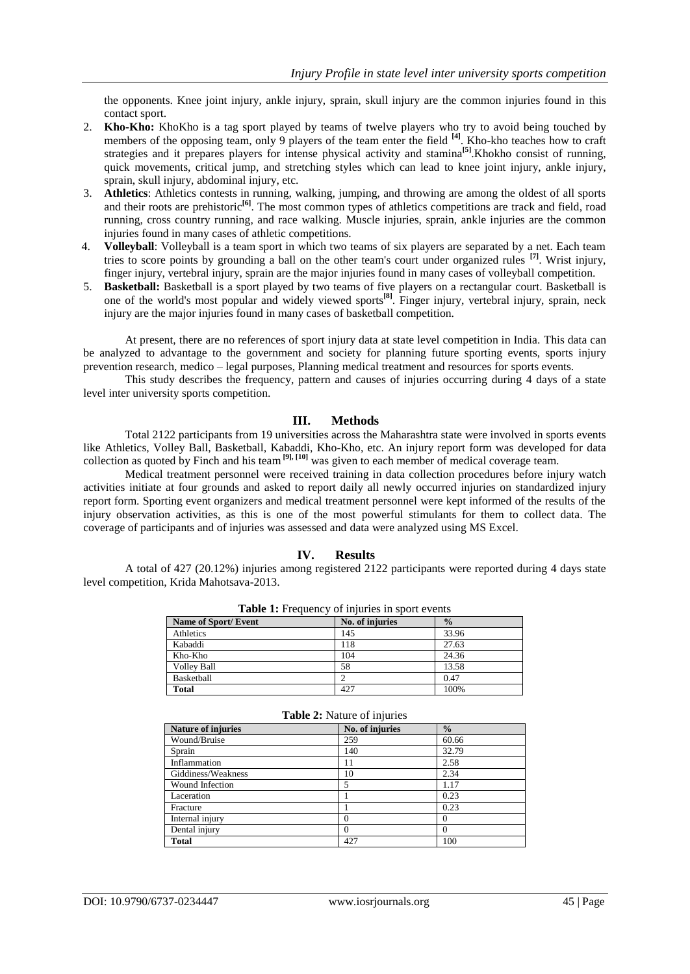the opponents. Knee joint injury, ankle injury, sprain, skull injury are the common injuries found in this contact sport.

- 2. **Kho-Kho:** KhoKho is a [tag](http://en.wikipedia.org/wiki/Tag_(game)) sport played by teams of twelve players who try to avoid being touched by members of the opposing team, only 9 players of the team enter the field **[4]** . Kho-kho teaches how to craft strategies and it prepares players for intense physical activity and stamina<sup>[5]</sup>. Khokho consist of running, quick movements, critical jump, and stretching styles which can lead to knee joint injury, ankle injury, sprain, skull injury, abdominal injury, etc.
- 3. **Athletics**: Athletics contests in running, walking, jumping, and throwing are among the oldest of all sports and their roots are [prehistoric](http://en.wikipedia.org/wiki/Prehistoric)<sup>[6]</sup>. The most common types of athletics competitions are [track and field,](http://en.wikipedia.org/wiki/Track_and_field) road [running,](http://en.wikipedia.org/wiki/Road_running) [cross country running,](http://en.wikipedia.org/wiki/Cross_country_running) and [race walking.](http://en.wikipedia.org/wiki/Race_walking) Muscle injuries, sprain, ankle injuries are the common injuries found in many cases of athletic competitions.
- 4. **Volleyball**: Volleyball is a team sport in which two teams of six players are separated by a net. Each team tries to score points by grounding a ball on the other team's court under organized rules **[7]** . Wrist injury, finger injury, vertebral injury, sprain are the major injuries found in many cases of volleyball competition.
- 5. **Basketball:** Basketball is a [sport](http://en.wikipedia.org/wiki/Team_sport) played by two teams of five players on a rectangular [court.](http://en.wikipedia.org/wiki/Basketball_court) Basketball is one of the world's most popular and widely viewed sports**[8]** . Finger injury, vertebral injury, sprain, neck injury are the major injuries found in many cases of basketball competition.

At present, there are no references of sport injury data at state level competition in India. This data can be analyzed to advantage to the government and society for planning future sporting events, sports injury prevention research, medico – legal purposes, Planning medical treatment and resources for sports events.

This study describes the frequency, pattern and causes of injuries occurring during 4 days of a state level inter university sports competition.

#### **III. Methods**

Total 2122 participants from 19 universities across the Maharashtra state were involved in sports events like Athletics, Volley Ball, Basketball, Kabaddi, Kho-Kho, etc. An injury report form was developed for data collection as quoted by Finch and his team **[9], [10]** was given to each member of medical coverage team.

Medical treatment personnel were received training in data collection procedures before injury watch activities initiate at four grounds and asked to report daily all newly occurred injuries on standardized injury report form. Sporting event organizers and medical treatment personnel were kept informed of the results of the injury observation activities, as this is one of the most powerful stimulants for them to collect data. The coverage of participants and of injuries was assessed and data were analyzed using MS Excel.

# **IV. Results**

A total of 427 (20.12%) injuries among registered 2122 participants were reported during 4 days state level competition, Krida Mahotsava-2013.

| Name of Sport/Event | No. of injuries | $\frac{0}{0}$ |
|---------------------|-----------------|---------------|
| Athletics           | 145             | 33.96         |
| Kabaddi             | 118             | 27.63         |
| Kho-Kho             | 104             | 24.36         |
| <b>Volley Ball</b>  | 58              | 13.58         |
| Basketball          |                 | 0.47          |
| <b>Total</b>        | 427             | 100%          |

| <b>Table 1:</b> Frequency of injuries in sport events |  |
|-------------------------------------------------------|--|
|-------------------------------------------------------|--|

| <b>Table 2:</b> Indicate of influences |                 |               |  |
|----------------------------------------|-----------------|---------------|--|
| <b>Nature of injuries</b>              | No. of injuries | $\frac{0}{0}$ |  |
| Wound/Bruise                           | 259             | 60.66         |  |
| Sprain                                 | 140             | 32.79         |  |
| Inflammation                           | 11              | 2.58          |  |
| Giddiness/Weakness                     | 10              | 2.34          |  |
| Wound Infection                        |                 | 1.17          |  |
| Laceration                             |                 | 0.23          |  |
| Fracture                               |                 | 0.23          |  |
| Internal injury                        | 0               |               |  |
| Dental injury                          | 0               | $\Omega$      |  |
| <b>Total</b>                           | 427             | 100           |  |

# **Table 2:** Nature of injuries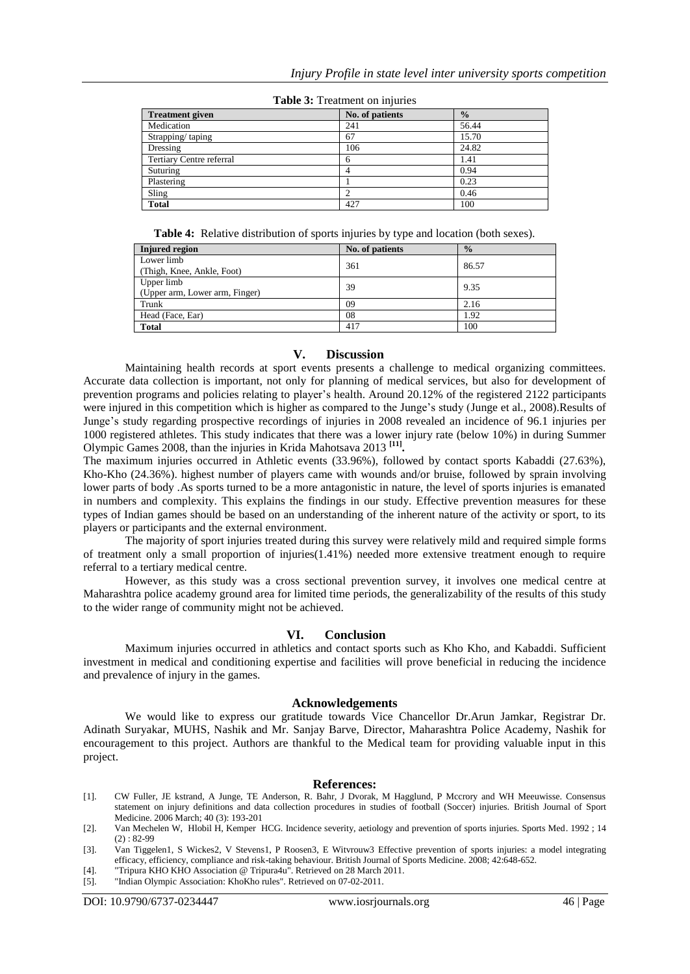| <b>Treatment given</b>   | No. of patients | $\frac{0}{0}$ |
|--------------------------|-----------------|---------------|
| Medication               | 241             | 56.44         |
| Strapping/taping         | 67              | 15.70         |
| Dressing                 | 106             | 24.82         |
| Tertiary Centre referral | 6               | 1.41          |
| Suturing                 |                 | 0.94          |
| Plastering               |                 | 0.23          |
| Sling                    |                 | 0.46          |
| <b>Total</b>             | 427             | 100           |

**Table 3:** Treatment on injuries

**Table 4:** Relative distribution of sports injuries by type and location (both sexes).

| <b>Injured</b> region          | No. of patients | $\frac{0}{0}$ |
|--------------------------------|-----------------|---------------|
| Lower limb                     | 361             | 86.57         |
| (Thigh, Knee, Ankle, Foot)     |                 |               |
| Upper limb                     | 39              | 9.35          |
| (Upper arm, Lower arm, Finger) |                 |               |
| Trunk                          | 09              | 2.16          |
| Head (Face, Ear)               | 08              | 1.92          |
| <b>Total</b>                   | 417             | 100           |

#### **V. Discussion**

Maintaining health records at sport events presents a challenge to medical organizing committees. Accurate data collection is important, not only for planning of medical services, but also for development of prevention programs and policies relating to player's health. Around 20.12% of the registered 2122 participants were injured in this competition which is higher as compared to the Junge's study (Junge et al., 2008).Results of Junge's study regarding prospective recordings of injuries in 2008 revealed an incidence of 96.1 injuries per 1000 registered athletes. This study indicates that there was a lower injury rate (below 10%) in during Summer Olympic Games 2008, than the injuries in Krida Mahotsava 2013 **[11] .**

The maximum injuries occurred in Athletic events (33.96%), followed by contact sports Kabaddi (27.63%), Kho-Kho (24.36%). highest number of players came with wounds and/or bruise, followed by sprain involving lower parts of body .As sports turned to be a more antagonistic in nature, the level of sports injuries is emanated in numbers and complexity. This explains the findings in our study. Effective prevention measures for these types of Indian games should be based on an understanding of the inherent nature of the activity or sport, to its players or participants and the external environment.

The majority of sport injuries treated during this survey were relatively mild and required simple forms of treatment only a small proportion of injuries(1.41%) needed more extensive treatment enough to require referral to a tertiary medical centre.

However, as this study was a cross sectional prevention survey, it involves one medical centre at Maharashtra police academy ground area for limited time periods, the generalizability of the results of this study to the wider range of community might not be achieved.

#### **VI. Conclusion**

Maximum injuries occurred in athletics and contact sports such as Kho Kho, and Kabaddi. Sufficient investment in medical and conditioning expertise and facilities will prove beneficial in reducing the incidence and prevalence of injury in the games.

#### **Acknowledgements**

We would like to express our gratitude towards Vice Chancellor Dr.Arun Jamkar, Registrar Dr. Adinath Suryakar, MUHS, Nashik and Mr. Sanjay Barve, Director, Maharashtra Police Academy, Nashik for encouragement to this project. Authors are thankful to the Medical team for providing valuable input in this project.

#### **References:**

- [1]. CW Fuller, JE kstrand, A Junge, TE Anderson, R. Bahr, J Dvorak, M Hagglund, P Mccrory and WH Meeuwisse. Consensus statement on injury definitions and data collection procedures in studies of football (Soccer) injuries. British Journal of Sport Medicine. 2006 March; 40 (3): 193-201
- [2]. Van Mechelen W, Hlobil H, Kemper HCG. Incidence severity, aetiology and prevention of sports injuries. Sports Med. 1992 ; 14  $(2): 82-99$
- [3]. [Van Tiggelen1,](http://bjsm.bmj.com/search?author1=D+Van+Tiggelen&sortspec=date&submit=Submit) [S Wickes2,](http://bjsm.bmj.com/search?author1=S+Wickes&sortspec=date&submit=Submit) [V Stevens1,](http://bjsm.bmj.com/search?author1=V+Stevens&sortspec=date&submit=Submit) [P Roosen3,](http://bjsm.bmj.com/search?author1=P+Roosen&sortspec=date&submit=Submit) [E Witvrouw3](http://bjsm.bmj.com/search?author1=E+Witvrouw&sortspec=date&submit=Submit) Effective prevention of sports injuries: a model integrating efficacy, efficiency, compliance and risk-taking behaviour. British Journal of Sports Medicine. 2008; 42:648-652.
- [4]. "Tripura KHO KHO Association @ Tripura4u". Retrieved on 28 March 2011. [5]. "Indian Olympic Association: KhoKho rules". Retrieved on 07-02-2011.